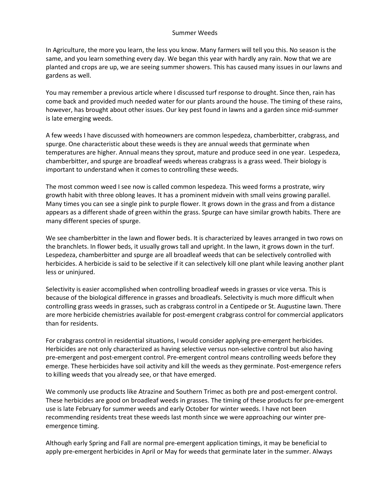## Summer Weeds

In Agriculture, the more you learn, the less you know. Many farmers will tell you this. No season is the same, and you learn something every day. We began this year with hardly any rain. Now that we are planted and crops are up, we are seeing summer showers. This has caused many issues in our lawns and gardens as well.

You may remember a previous article where I discussed turf response to drought. Since then, rain has come back and provided much needed water for our plants around the house. The timing of these rains, however, has brought about other issues. Our key pest found in lawns and a garden since mid-summer is late emerging weeds.

A few weeds I have discussed with homeowners are common lespedeza, chamberbitter, crabgrass, and spurge. One characteristic about these weeds is they are annual weeds that germinate when temperatures are higher. Annual means they sprout, mature and produce seed in one year. Lespedeza, chamberbitter, and spurge are broadleaf weeds whereas crabgrass is a grass weed. Their biology is important to understand when it comes to controlling these weeds.

The most common weed I see now is called common lespedeza. This weed forms a prostrate, wiry growth habit with three oblong leaves. It has a prominent midvein with small veins growing parallel. Many times you can see a single pink to purple flower. It grows down in the grass and from a distance appears as a different shade of green within the grass. Spurge can have similar growth habits. There are many different species of spurge.

We see chamberbitter in the lawn and flower beds. It is characterized by leaves arranged in two rows on the branchlets. In flower beds, it usually grows tall and upright. In the lawn, it grows down in the turf. Lespedeza, chamberbitter and spurge are all broadleaf weeds that can be selectively controlled with herbicides. A herbicide is said to be selective if it can selectively kill one plant while leaving another plant less or uninjured.

Selectivity is easier accomplished when controlling broadleaf weeds in grasses or vice versa. This is because of the biological difference in grasses and broadleafs. Selectivity is much more difficult when controlling grass weeds in grasses, such as crabgrass control in a Centipede or St. Augustine lawn. There are more herbicide chemistries available for post-emergent crabgrass control for commercial applicators than for residents.

For crabgrass control in residential situations, I would consider applying pre-emergent herbicides. Herbicides are not only characterized as having selective versus non-selective control but also having pre-emergent and post-emergent control. Pre-emergent control means controlling weeds before they emerge. These herbicides have soil activity and kill the weeds as they germinate. Post-emergence refers to killing weeds that you already see, or that have emerged.

We commonly use products like Atrazine and Southern Trimec as both pre and post-emergent control. These herbicides are good on broadleaf weeds in grasses. The timing of these products for pre-emergent use is late February for summer weeds and early October for winter weeds. I have not been recommending residents treat these weeds last month since we were approaching our winter preemergence timing.

Although early Spring and Fall are normal pre-emergent application timings, it may be beneficial to apply pre-emergent herbicides in April or May for weeds that germinate later in the summer. Always